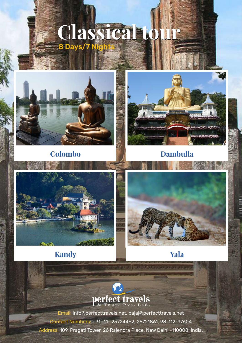# **Classical tour Classical tour**  8 Days/7 Nights



**Colombo Dambulla**





# **Kandy Yala**



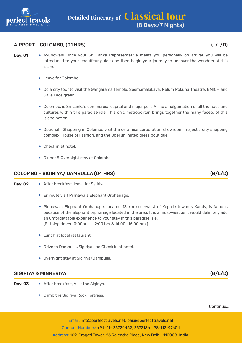

#### AIRPORT – COLOMBO, (01 HRS) (-/-/D)

- Day: 01 | Ayubowan! Once your Sri Lanka Representative meets you personally on arrival, you will be introduced to your chauffeur guide and then begin your journey to uncover the wonders of this island.
	- Leave for Colombo.
	- Do a city tour to visit the Gangarama Temple, Seemamalakaya, Nelum Pokuna Theatre, BMICH and Galle Face green.
	- Colombo, is Sri Lanka's commercial capital and major port. A fine amalgamation of all the hues and cultures within this paradise isle. This chic metropolitan brings together the many facets of this island nation.
	- Optional : Shopping in Colombo visit the ceramics corporation showroom, majestic city shopping complex, House of Fashion, and the Odel unlimited dress boutique.
	- Check in at hotel.
	- Dinner & Overnight stay at Colombo.

#### COLOMBO – SIGIRIYA/ DAMBULLA (04 HRS) (B/L/D)

| Day: 02 | ◆ After breakfast, leave for Sigiriya.                                                                                                                                                                                                                                                                                               |
|---------|--------------------------------------------------------------------------------------------------------------------------------------------------------------------------------------------------------------------------------------------------------------------------------------------------------------------------------------|
|         | • En route visit Pinnawala Elephant Orphanage.                                                                                                                                                                                                                                                                                       |
|         | Pinnawala Elephant Orphanage, located 13 km northwest of Kegalle towards Kandy, is famous<br>٠<br>because of the elephant orphanage located in the area. It is a must-visit as it would definitely add<br>an unforgettable experience to your stay in this paradise isle.<br>(Bathing times 10:00hrs - 12:00 hrs & 14:00 -16:00 hrs) |
|         | $\bullet$ Lunch at local restaurant.                                                                                                                                                                                                                                                                                                 |

- Drive to Dambulla/Sigiriya and Check in at hotel.
- Overnight stay at Sigiriya/Dambulla.

#### SIGIRIYA & MINNERIYA (B/L/D)

- **Day: 03**  $\rightarrow$  After breakfast, Visit the Sigiriya.
	- Climb the Sigiriya Rock Fortress.

Continue...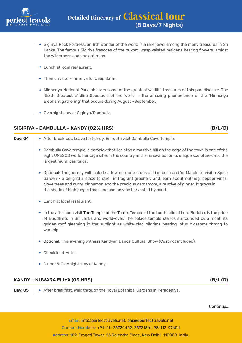

- Sigiriya Rock Fortress, an 8th wonder of the world is a rare jewel among the many treasures in Sri Lanka. The famous Sigiriya frescoes of the buxom, waspwaisted maidens bearing flowers, amidst the wilderness and ancient ruins.
- Lunch at local restaurant.
- Then drive to Minneriya for Jeep Safari.
- Minneriya National Park, shelters some of the greatest wildlife treasures of this paradise isle. The 'Sixth Greatest Wildlife Spectacle of the World' – the amazing phenomenon of the 'Minneriya Elephant gathering' that occurs during August –September.
- Overnight stay at Sigiriya/Dambulla.

#### SIGIRIYA – DAMBULLA – KANDY (02 ½ HRS) (B/L/D)

## Day: 04 After breakfast, Leave for Kandy. En route visit Dambulla Cave Temple. Dambulla Cave temple, a complex that lies atop a massive hill on the edge of the town is one of the eight UNESCO world heritage sites in the country and is renowned for its unique sculptures and the largest mural paintings. Optional: The journey will include a few en route stops at Dambulla and/or Matale to visit a Spice Garden - a delightful place to stroll in fragrant greenery and learn about nutmeg, pepper vines, clove trees and curry, cinnamon and the precious cardamom, a relative of ginger. It grows in the shade of high jungle trees and can only be harvested by hand. Lunch at local restaurant. In the afternoon visit The Temple of the Tooth, Temple of the tooth relic of Lord Buddha, is the pride of Buddhists in Sri Lanka and world-over. The palace temple stands surrounded by a moat, its golden roof gleaming in the sunlight as white-clad pilgrims bearing lotus blossoms throng to worship. Optional: This evening witness Kandyan Dance Cultural Show (Cost not included). Check in at Hotel. Dinner & Overnight stay at Kandy.

#### KANDY – NUWARA ELIYA (03 HRS) (B/L/D)

**Day: 05**  $\blacklozenge$  After breakfast, Walk through the Royal Botanical Gardens in Peradeniya.

Continue...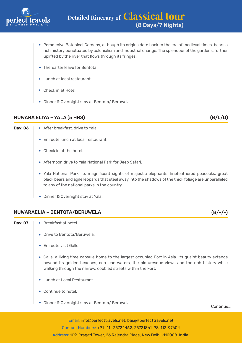

- Peradeniya Botanical Gardens, although its origins date back to the era of medieval times, bears a rich history punctuated by colonialism and industrial change. The splendour of the gardens, further uplifted by the river that flows through its fringes.
- Thereafter leave for Bentota.
- Lunch at local restaurant.
- Check in at Hotel.
- Dinner & Overnight stay at Bentota/ Beruwela.

#### NUWARA ELIYA – YALA (5 HRS) (B/L/D)

- Day: 06  $\rightarrow$  After breakfast, drive to Yala.
	- En route lunch at local restaurant.
	- Check in at the hotel.
	- Afternoon drive to Yala National Park for Jeep Safari.
	- Yala National Park, its magnificent sights of majestic elephants, finefeathered peacocks, great black bears and agile leopards that steal away into the shadows of the thick foliage are unparalleled to any of the national parks in the country.
	- Dinner & Overnight stay at Yala.

#### NUWARAELIA – BENTOTA/BERUWELA (B/-/-)

- 
- **Day: 07**  $\rightarrow$  Breakfast at hotel.
	- Drive to Bentota/Beruwela.
	- En route visit Galle.
	- Galle, a living time capsule home to the largest occupied Fort in Asia. Its quaint beauty extends beyond its golden beaches, cerulean waters, the picturesque views and the rich history while walking through the narrow, cobbled streets within the Fort.
	- Lunch at Local Restaurant.
	- Continue to hotel.
	- Dinner & Overnight stay at Bentota/ Beruwela.

Continue...